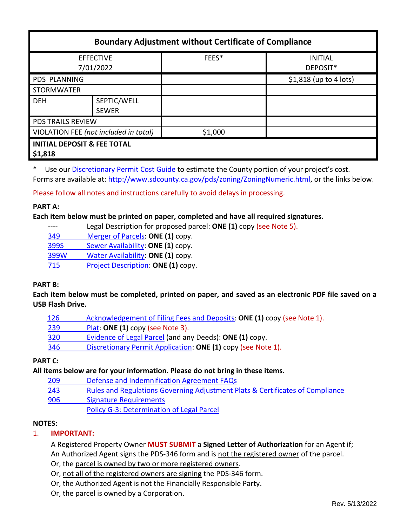| <b>Boundary Adjustment without Certificate of Compliance</b> |                             |         |                            |
|--------------------------------------------------------------|-----------------------------|---------|----------------------------|
| <b>EFFECTIVE</b><br>7/01/2022                                |                             | FEES*   | <b>INITIAL</b><br>DEPOSIT* |
| PDS PLANNING                                                 |                             |         | $$1,818$ (up to 4 lots)    |
| <b>STORMWATER</b>                                            |                             |         |                            |
| <b>DEH</b>                                                   | SEPTIC/WELL<br><b>SEWER</b> |         |                            |
| <b>PDS TRAILS REVIEW</b>                                     |                             |         |                            |
| VIOLATION FEE (not included in total)                        |                             | \$1,000 |                            |
| <b>INITIAL DEPOSIT &amp; FEE TOTAL</b><br>\$1,818            |                             |         |                            |

\* Use our [Discretionary Permit Cost Guide](http://www.sandiegocounty.gov/content/dam/sdc/pds/docs/Discretionary_Permit_Cost_Guide.xlsx) to estimate the County portion of your project's cost. Forms are available at[: http://www.sdcounty.ca.gov/pds/zoning/ZoningNumeric.html,](http://www.sdcounty.ca.gov/pds/zoning/ZoningNumeric.html) or the links below.

Please follow all notes and instructions carefully to avoid delays in processing.

## **PART A:**

#### **Each item below must be printed on paper, completed and have all required signatures.**

- ---- Legal Description for proposed parcel: **ONE (1)** copy (see Note 5).
- [349 Merger of Parcels:](http://www.sdcounty.ca.gov/pds/zoning/formfields/PDS-PLN-349.pdf) **ONE (1)** copy.
- 399S [Sewer Availability:](http://www.sdcounty.ca.gov/pds/zoning/formfields/PDS-PLN-399S.pdf) **ONE (1)** copy.
- 399W [Water Availability:](http://www.sdcounty.ca.gov/pds/zoning/formfields/PDS-PLN-399W.pdf) **ONE (1)** copy.
- 715 [Project Description:](http://www.sdcounty.ca.gov/pds/zoning/formfields/PDS-PLN-715.pdf) **ONE (1)** copy.

## **PART B:**

**Each item below must be completed, printed on paper, and saved as an electronic PDF file saved on a USB Flash Drive.**

- [126 Acknowledgement of Filing Fees and Deposits:](http://www.sdcounty.ca.gov/pds/zoning/formfields/PDS-PLN-126.pdf) **ONE (1)** copy (see Note 1).
- 239 [Plat:](http://www.sdcounty.ca.gov/pds/zoning/formfields/PDS-239.pdf) **ONE (1)** copy (see Note 3).
- [320 Evidence of Legal Parcel](http://www.sdcounty.ca.gov/pds/zoning/formfields/PDS-PLN-320.pdf) (and any Deeds): **ONE (1)** copy.
- 346 [Discretionary Permit Application:](http://www.sdcounty.ca.gov/pds/zoning/formfields/PDS-PLN-346.pdf) **ONE (1)** copy (see Note 1).

## **PART C:**

**All items below are for your information. Please do not bring in these items.**

- 209 [Defense and Indemnification Agreement FAQs](http://www.sdcounty.ca.gov/pds/zoning/formfields/PDS-PLN-209.pdf)
- 243 [Rules and Regulations Governing Adjustment Plats & Certificates of Compliance](http://www.sdcounty.ca.gov/pds/zoning/formfields/PDS-PLN-243.pdf)
- 906 [Signature Requirements](http://www.sdcounty.ca.gov/pds/zoning/formfields/PDS-PLN-906.pdf)

[Policy G-3: Determination of Legal Parcel](http://www.sdcounty.ca.gov/pds/zoning/formfields/POLICY-G-3.pdf)

## **NOTES:**

# 1. **IMPORTANT:**

A Registered Property Owner **MUST SUBMIT** a **Signed Letter of Authorization** for an Agent if; An Authorized Agent signs the PDS-346 form and is not the registered owner of the parcel.

- Or, the parcel is owned by two or more registered owners.
- Or, not all of the registered owners are signing the PDS-346 form.
- Or, the Authorized Agent is not the Financially Responsible Party.
- Or, the parcel is owned by a Corporation.